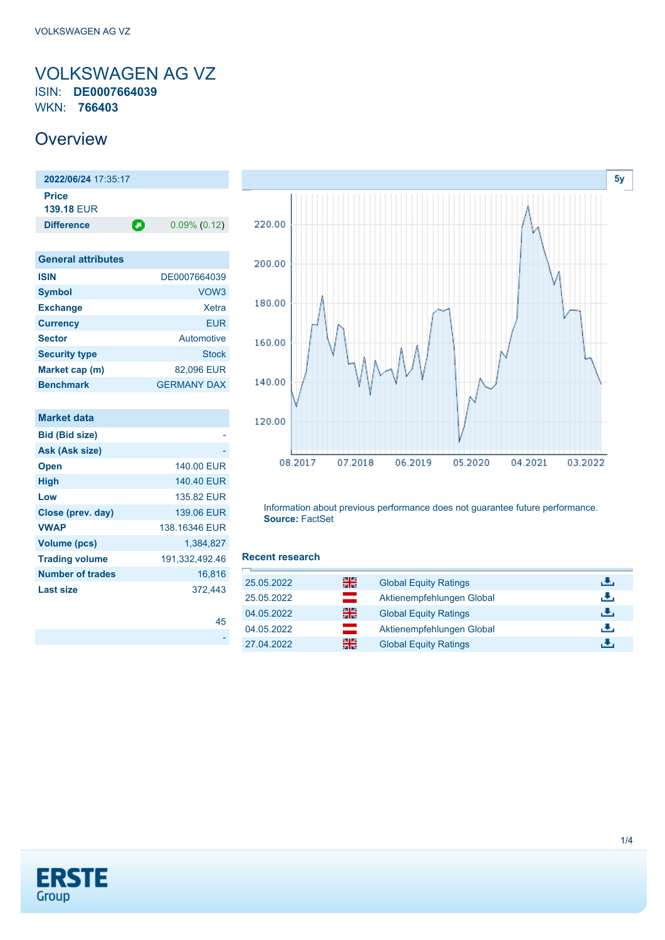### <span id="page-0-0"></span>VOLKSWAGEN AG VZ ISIN: **DE0007664039** WKN: **766403**

## **Overview**

**2022/06/24** 17:35:17 **Price 139.18** EUR **Difference 0.09% (0.12)** 

| <b>General attributes</b> |                    |
|---------------------------|--------------------|
| <b>ISIN</b>               | DE0007664039       |
| <b>Symbol</b>             | VOW <sub>3</sub>   |
| <b>Exchange</b>           | Xetra              |
| <b>Currency</b>           | <b>EUR</b>         |
| <b>Sector</b>             | Automotive         |
| <b>Security type</b>      | <b>Stock</b>       |
| Market cap (m)            | 82,096 EUR         |
| <b>Benchmark</b>          | <b>GERMANY DAX</b> |

| <b>Market data</b>      |                |
|-------------------------|----------------|
| <b>Bid (Bid size)</b>   |                |
| Ask (Ask size)          |                |
| <b>Open</b>             | 140.00 EUR     |
| <b>High</b>             | 140.40 EUR     |
| Low                     | 135.82 FUR     |
| Close (prev. day)       | 139.06 EUR     |
| <b>VWAP</b>             | 138 16346 FUR  |
| <b>Volume (pcs)</b>     | 1.384.827      |
| <b>Trading volume</b>   | 191,332,492.46 |
| <b>Number of trades</b> | 16.816         |
| <b>Last size</b>        | 372.443        |



Information about previous performance does not guarantee future performance. **Source:** FactSet

#### **Recent research**

[45](https://de.products.erstegroup.com/CorporateClients/en/Dispatcher/SearchDispatcher/Market/future/index.phtml?ID_INSTRUMENT_CLASS_FUTURE=154589562,160015575,29355524) -

| 꾊<br>25.05.2022                            | <b>Global Equity Ratings</b> | đ۴,  |
|--------------------------------------------|------------------------------|------|
| $\equiv$<br>25.05.2022                     | Aktienempfehlungen Global    | Æ,   |
| 을<br>04.05.2022                            | <b>Global Equity Ratings</b> | æ,   |
| $\sim 10$<br>04.05.2022<br><b>START OF</b> | Aktienempfehlungen Global    | æ,   |
| 을중<br>27.04.2022                           | <b>Global Equity Ratings</b> | رالي |

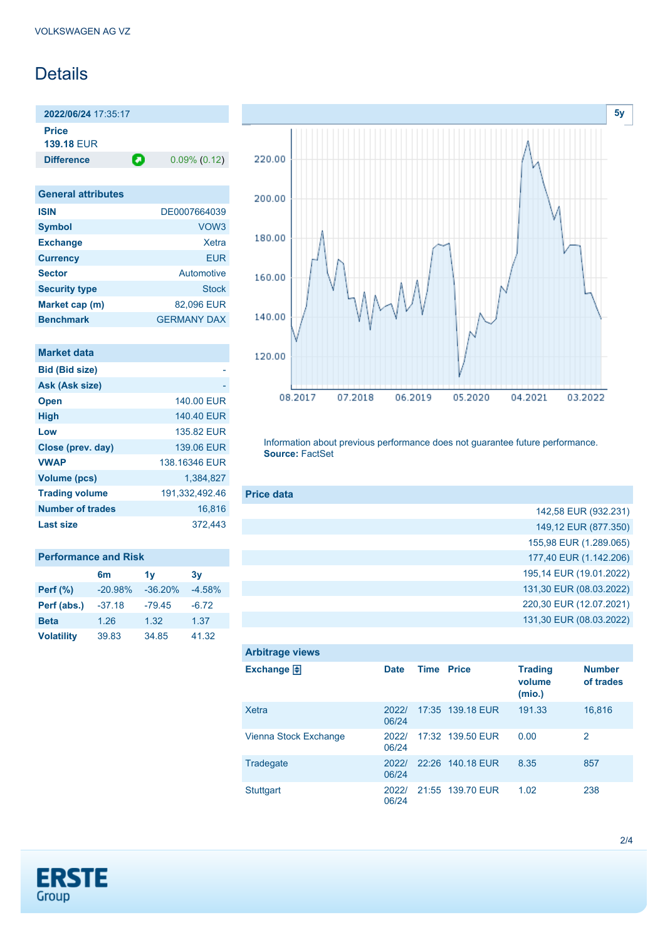# **Details**

**2022/06/24** 17:35:17 **Price**

**139.18** EUR

**Difference 0.09% (0.12)** 

| <b>General attributes</b> |                    |
|---------------------------|--------------------|
| <b>ISIN</b>               | DE0007664039       |
| <b>Symbol</b>             | VOW <sub>3</sub>   |
| <b>Exchange</b>           | Xetra              |
| <b>Currency</b>           | FUR                |
| <b>Sector</b>             | Automotive         |
| <b>Security type</b>      | Stock              |
| Market cap (m)            | 82,096 EUR         |
| <b>Benchmark</b>          | <b>GERMANY DAX</b> |

| 140.00 EUR     |
|----------------|
| 140.40 EUR     |
| 135.82 FUR     |
| 139.06 EUR     |
| 138 16346 FUR  |
| 1.384.827      |
| 191,332,492.46 |
| 16.816         |
| 372.443        |
|                |

#### **Performance and Risk**

|                   | 6 <sub>m</sub> | 1v        | 3v       |
|-------------------|----------------|-----------|----------|
| <b>Perf</b> (%)   | $-20.98%$      | $-36.20%$ | $-4.58%$ |
| Perf (abs.)       | $-37.18$       | $-79.45$  | $-6.72$  |
| <b>Beta</b>       | 1.26           | 1.32      | 1.37     |
| <b>Volatility</b> | 39.83          | 34.85     | 41.32    |



Information about previous performance does not guarantee future performance. **Source:** FactSet

| <b>Price data</b> |                         |
|-------------------|-------------------------|
|                   | 142,58 EUR (932.231)    |
|                   | 149,12 EUR (877.350)    |
|                   | 155,98 EUR (1.289.065)  |
|                   | 177,40 EUR (1.142.206)  |
|                   | 195,14 EUR (19.01.2022) |
|                   | 131,30 EUR (08.03.2022) |
|                   | 220,30 EUR (12.07.2021) |
|                   | 131,30 EUR (08.03.2022) |

| <b>Arbitrage views</b> |                |                   |                  |                                    |                            |
|------------------------|----------------|-------------------|------------------|------------------------------------|----------------------------|
| Exchange $\bigoplus$   | <b>Date</b>    | <b>Time Price</b> |                  | <b>Trading</b><br>volume<br>(mio.) | <b>Number</b><br>of trades |
| Xetra                  | 2022/<br>06/24 |                   | 17:35 139.18 EUR | 191.33                             | 16,816                     |
| Vienna Stock Exchange  | 2022/<br>06/24 |                   | 17:32 139.50 EUR | 0.00                               | 2                          |
| Tradegate              | 2022/<br>06/24 |                   | 22:26 140.18 EUR | 8.35                               | 857                        |
| <b>Stuttgart</b>       | 2022/<br>06/24 |                   | 21:55 139.70 EUR | 1.02                               | 238                        |

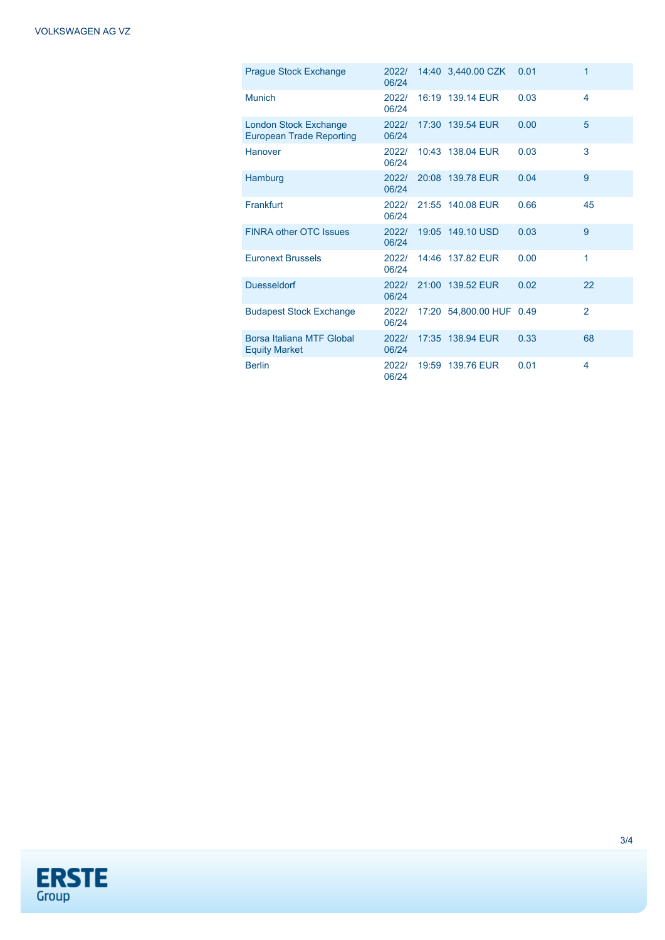| <b>Prague Stock Exchange</b>                                    | 2022/<br>06/24 | 14:40 3,440.00 CZK       | 0.01 | 1              |
|-----------------------------------------------------------------|----------------|--------------------------|------|----------------|
| Munich                                                          | 2022/<br>06/24 | 16:19 139.14 EUR         | 0.03 | 4              |
| <b>London Stock Exchange</b><br><b>European Trade Reporting</b> | 2022/<br>06/24 | 17:30 139.54 EUR         | 0.00 | 5              |
| Hanover                                                         | 2022/<br>06/24 | 10:43 138.04 EUR         | 0.03 | 3              |
| Hamburg                                                         | 2022/<br>06/24 | 20:08 139.78 EUR         | 0.04 | 9              |
| Frankfurt                                                       | 2022/<br>06/24 | 21:55 140.08 EUR         | 0.66 | 45             |
| <b>FINRA other OTC Issues</b>                                   | 2022/<br>06/24 | 19:05 149.10 USD         | 0.03 | 9              |
| <b>Euronext Brussels</b>                                        | 2022/<br>06/24 | 14:46 137.82 EUR         | 0.00 | 1              |
| <b>Duesseldorf</b>                                              | 2022/<br>06/24 | 21:00 139.52 EUR         | 0.02 | 22             |
| <b>Budapest Stock Exchange</b>                                  | 2022/<br>06/24 | 17:20 54,800.00 HUF 0.49 |      | $\overline{2}$ |
| Borsa Italiana MTF Global<br><b>Equity Market</b>               | 2022/<br>06/24 | 17:35 138.94 EUR         | 0.33 | 68             |
| <b>Berlin</b>                                                   | 2022/<br>06/24 | 19:59 139.76 EUR         | 0.01 | 4              |